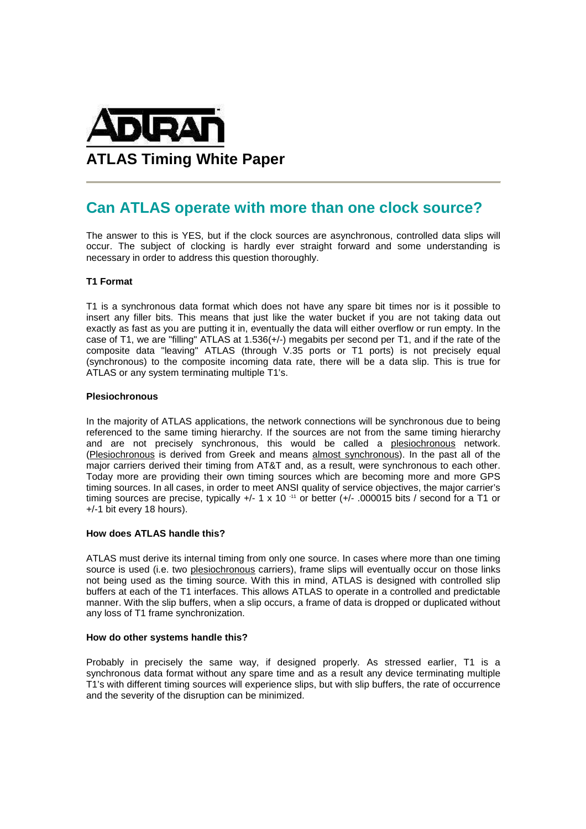

# **Can ATLAS operate with more than one clock source?**

The answer to this is YES, but if the clock sources are asynchronous, controlled data slips will occur. The subject of clocking is hardly ever straight forward and some understanding is necessary in order to address this question thoroughly.

# **T1 Format**

T1 is a synchronous data format which does not have any spare bit times nor is it possible to insert any filler bits. This means that just like the water bucket if you are not taking data out exactly as fast as you are putting it in, eventually the data will either overflow or run empty. In the case of T1, we are "filling" ATLAS at 1.536(+/-) megabits per second per T1, and if the rate of the composite data "leaving" ATLAS (through V.35 ports or T1 ports) is not precisely equal (synchronous) to the composite incoming data rate, there will be a data slip. This is true for ATLAS or any system terminating multiple T1's.

## **Plesiochronous**

In the majority of ATLAS applications, the network connections will be synchronous due to being referenced to the same timing hierarchy. If the sources are not from the same timing hierarchy and are not precisely synchronous, this would be called a plesiochronous network. (Plesiochronous is derived from Greek and means almost synchronous). In the past all of the major carriers derived their timing from AT&T and, as a result, were synchronous to each other. Today more are providing their own timing sources which are becoming more and more GPS timing sources. In all cases, in order to meet ANSI quality of service objectives, the major carrier's timing sources are precise, typically +/- 1 x 10<sup>-11</sup> or better (+/- .000015 bits / second for a T1 or +/-1 bit every 18 hours).

## **How does ATLAS handle this?**

ATLAS must derive its internal timing from only one source. In cases where more than one timing source is used (i.e. two plesiochronous carriers), frame slips will eventually occur on those links not being used as the timing source. With this in mind, ATLAS is designed with controlled slip buffers at each of the T1 interfaces. This allows ATLAS to operate in a controlled and predictable manner. With the slip buffers, when a slip occurs, a frame of data is dropped or duplicated without any loss of T1 frame synchronization.

## **How do other systems handle this?**

Probably in precisely the same way, if designed properly. As stressed earlier, T1 is a synchronous data format without any spare time and as a result any device terminating multiple T1's with different timing sources will experience slips, but with slip buffers, the rate of occurrence and the severity of the disruption can be minimized.